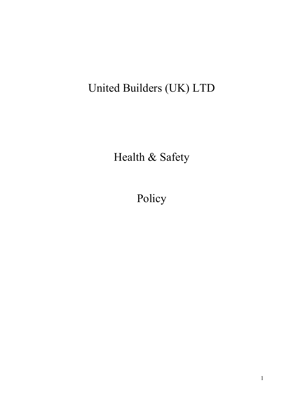# United Builders (UK) LTD

Health & Safety

Policy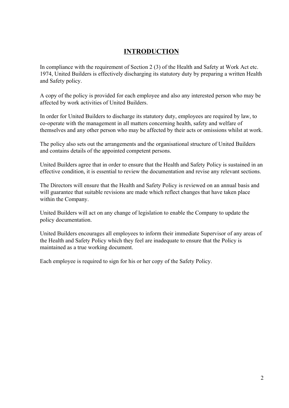#### **INTRODUCTION**

In compliance with the requirement of Section 2 (3) of the Health and Safety at Work Act etc. 1974, United Builders is effectively discharging its statutory duty by preparing a written Health and Safety policy.

A copy of the policy is provided for each employee and also any interested person who may be affected by work activities of United Builders.

In order for United Builders to discharge its statutory duty, employees are required by law, to co-operate with the management in all matters concerning health, safety and welfare of themselves and any other person who may be affected by their acts or omissions whilst at work.

The policy also sets out the arrangements and the organisational structure of United Builders and contains details of the appointed competent persons.

United Builders agree that in order to ensure that the Health and Safety Policy is sustained in an effective condition, it is essential to review the documentation and revise any relevant sections.

The Directors will ensure that the Health and Safety Policy is reviewed on an annual basis and will guarantee that suitable revisions are made which reflect changes that have taken place within the Company.

United Builders will act on any change of legislation to enable the Company to update the policy documentation.

United Builders encourages all employees to inform their immediate Supervisor of any areas of the Health and Safety Policy which they feel are inadequate to ensure that the Policy is maintained as a true working document.

Each employee is required to sign for his or her copy of the Safety Policy.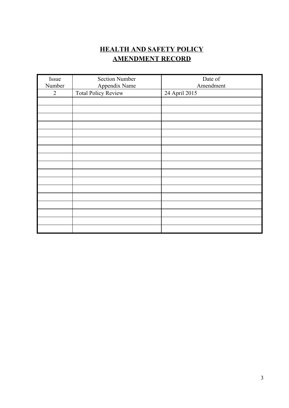#### **HEALTH AND SAFETY POLICY AMENDMENT RECORD**

| Issue          | <b>Section Number</b>      | Date of       |
|----------------|----------------------------|---------------|
| Number         | Appendix Name              | Amendment     |
| $\overline{2}$ | <b>Total Policy Review</b> | 24 April 2015 |
|                |                            |               |
|                |                            |               |
|                |                            |               |
|                |                            |               |
|                |                            |               |
|                |                            |               |
|                |                            |               |
|                |                            |               |
|                |                            |               |
|                |                            |               |
|                |                            |               |
|                |                            |               |
|                |                            |               |
|                |                            |               |
|                |                            |               |
|                |                            |               |
|                |                            |               |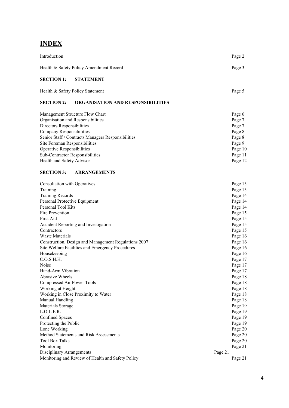#### **INDEX**

| Introduction                                                  | Page 2  |
|---------------------------------------------------------------|---------|
| Health & Safety Policy Amendment Record                       | Page 3  |
| <b>SECTION 1:</b><br><b>STATEMENT</b>                         |         |
| Health & Safety Policy Statement                              | Page 5  |
| <b>SECTION 2:</b><br><b>ORGANISATION AND RESPONSIBILITIES</b> |         |
| Management Structure Flow Chart                               | Page 6  |
| Organisation and Responsibilities                             | Page 7  |
| Directors Responsibilities                                    | Page 7  |
| Company Responsibilities                                      | Page 8  |
| Senior Staff / Contracts Managers Responsibilities            | Page 8  |
| Site Foreman Responsibilities                                 | Page 9  |
| <b>Operative Responsibilities</b>                             | Page 10 |
| Sub-Contractor Responsibilities                               | Page 11 |
| Health and Safety Advisor                                     | Page 12 |
| <b>SECTION 3:</b><br><b>ARRANGEMENTS</b>                      |         |
| <b>Consultation with Operatives</b>                           | Page 13 |
| Training                                                      | Page 13 |
| <b>Training Records</b>                                       | Page 14 |
| Personal Protective Equipment                                 | Page 14 |
| Personal Tool Kits                                            | Page 14 |
| Fire Prevention                                               | Page 15 |
| First Aid                                                     | Page 15 |
| <b>Accident Reporting and Investigation</b>                   | Page 15 |
| Contractors                                                   | Page 15 |
| <b>Waste Materials</b>                                        | Page 16 |
| Construction, Design and Management Regulations 2007          | Page 16 |
| Site Welfare Facilities and Emergency Procedures              | Page 16 |
| Housekeeping                                                  | Page 16 |
| C.O.S.H.H.                                                    | Page 17 |
| Noise                                                         | Page 17 |

| waste materials                                      | Page 10 |
|------------------------------------------------------|---------|
| Construction, Design and Management Regulations 2007 | Page 16 |
| Site Welfare Facilities and Emergency Procedures     | Page 16 |
| Housekeeping                                         | Page 16 |
| C.O.S.H.H.                                           | Page 17 |
| Noise                                                | Page 17 |
| Hand-Arm Vibration                                   | Page 17 |
| Abrasive Wheels                                      | Page 18 |
| Compressed Air Power Tools                           | Page 18 |
| Working at Height                                    | Page 18 |
| Working in Close Proximity to Water                  | Page 18 |
| Manual Handling                                      | Page 18 |
| Materials Storage                                    | Page 19 |
| L.O.L.E.R.                                           | Page 19 |
| <b>Confined Spaces</b>                               | Page 19 |
| Protecting the Public                                | Page 19 |
| Lone Working                                         | Page 20 |
| <b>Method Statements and Risk Assessments</b>        | Page 20 |
| Tool Box Talks                                       | Page 20 |
| Monitoring                                           | Page 21 |
| Disciplinary Arrangements                            | Page 21 |
|                                                      |         |

Monitoring and Review of Health and Safety Policy Page 21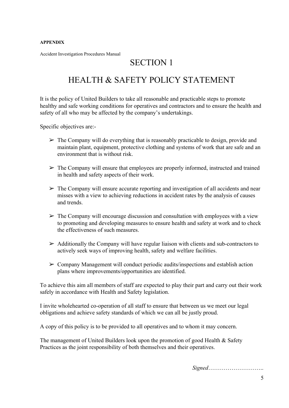#### **APPENDIX**

Accident Investigation Procedures Manual

#### SECTION 1

#### HEALTH & SAFETY POLICY STATEMENT

It is the policy of United Builders to take all reasonable and practicable steps to promote healthy and safe working conditions for operatives and contractors and to ensure the health and safety of all who may be affected by the company's undertakings.

Specific objectives are:

- $\triangleright$  The Company will do everything that is reasonably practicable to design, provide and maintain plant, equipment, protective clothing and systems of work that are safe and an environment that is without risk.
- $\triangleright$  The Company will ensure that employees are properly informed, instructed and trained in health and safety aspects of their work.
- ➢ The Company will ensure accurate reporting and investigation of all accidents and near misses with a view to achieving reductions in accident rates by the analysis of causes and trends.
- $\triangleright$  The Company will encourage discussion and consultation with employees with a view to promoting and developing measures to ensure health and safety at work and to check the effectiveness of such measures.
- $\triangleright$  Additionally the Company will have regular liaison with clients and sub-contractors to actively seek ways of improving health, safety and welfare facilities.
- $\triangleright$  Company Management will conduct periodic audits/inspections and establish action plans where improvements/opportunities are identified.

To achieve this aim all members of staff are expected to play their part and carry out their work safely in accordance with Health and Safety legislation.

I invite wholehearted co-operation of all staff to ensure that between us we meet our legal obligations and achieve safety standards of which we can all be justly proud.

A copy of this policy is to be provided to all operatives and to whom it may concern.

The management of United Builders look upon the promotion of good Health & Safety Practices as the joint responsibility of both themselves and their operatives.

*Signed*………………………..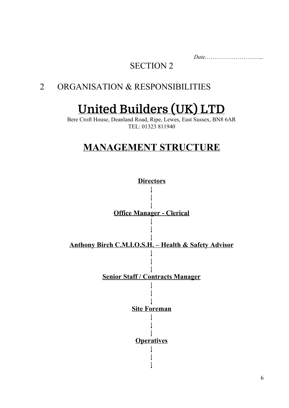*Date.*………………………..*.*

# SECTION 2

# 2 ORGANISATION & RESPONSIBILITIES

# **United Builders (UK) LTD**

Bere Croft House, Deanland Road, Ripe, Lewes, East Sussex, BN8 6AR TEL: 01323 811940

# **MANAGEMENT STRUCTURE**

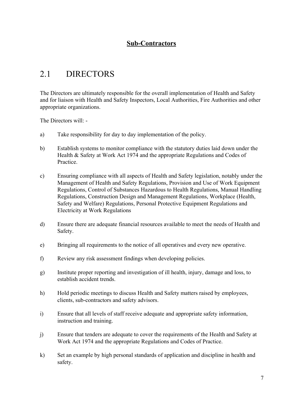#### **Sub-Contractors**

### 2.1 DIRECTORS

The Directors are ultimately responsible for the overall implementation of Health and Safety and for liaison with Health and Safety Inspectors, Local Authorities, Fire Authorities and other appropriate organizations.

The Directors will:

- a) Take responsibility for day to day implementation of the policy.
- b) Establish systems to monitor compliance with the statutory duties laid down under the Health & Safety at Work Act 1974 and the appropriate Regulations and Codes of **Practice**
- c) Ensuring compliance with all aspects of Health and Safety legislation, notably under the Management of Health and Safety Regulations, Provision and Use of Work Equipment Regulations, Control of Substances Hazardous to Health Regulations, Manual Handling Regulations, Construction Design and Management Regulations, Workplace (Health, Safety and Welfare) Regulations, Personal Protective Equipment Regulations and Electricity at Work Regulations
- d) Ensure there are adequate financial resources available to meet the needs of Health and Safety.
- e) Bringing all requirements to the notice of all operatives and every new operative.
- f) Review any risk assessment findings when developing policies.
- g) Institute proper reporting and investigation of ill health, injury, damage and loss, to establish accident trends.
- h) Hold periodic meetings to discuss Health and Safety matters raised by employees, clients, sub-contractors and safety advisors.
- i) Ensure that all levels of staff receive adequate and appropriate safety information, instruction and training.
- j) Ensure that tenders are adequate to cover the requirements of the Health and Safety at Work Act 1974 and the appropriate Regulations and Codes of Practice.
- k) Set an example by high personal standards of application and discipline in health and safety.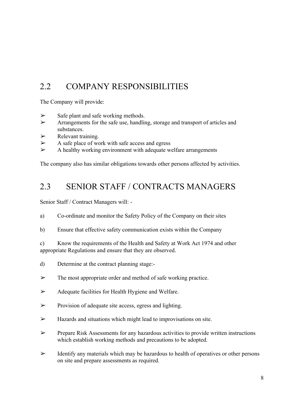### 2.2 COMPANY RESPONSIBILITIES

The Company will provide:

- $\triangleright$  Safe plant and safe working methods.
- ➢ Arrangements for the safe use, handling, storage and transport of articles and substances.
- $\triangleright$  Relevant training.
- $\triangleright$  A safe place of work with safe access and egress
- $\triangleright$  A healthy working environment with adequate welfare arrangements

The company also has similar obligations towards other persons affected by activities.

#### 2.3 SENIOR STAFF / CONTRACTS MANAGERS

Senior Staff / Contract Managers will:

- a) Co-ordinate and monitor the Safety Policy of the Company on their sites
- b) Ensure that effective safety communication exists within the Company

c) Know the requirements of the Health and Safety at Work Act 1974 and other appropriate Regulations and ensure that they are observed.

- d) Determine at the contract planning stage:
- ➢ The most appropriate order and method of safe working practice.
- ➢ Adequate facilities for Health Hygiene and Welfare.
- $\triangleright$  Provision of adequate site access, egress and lighting.
- $\triangleright$  Hazards and situations which might lead to improvisations on site.
- $\triangleright$  Prepare Risk Assessments for any hazardous activities to provide written instructions which establish working methods and precautions to be adopted.
- $\triangleright$  Identify any materials which may be hazardous to health of operatives or other persons on site and prepare assessments as required.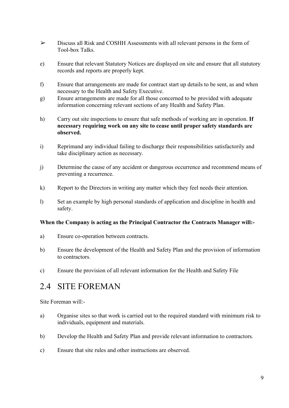- ➢ Discuss all Risk and COSHH Assessments with all relevant persons in the form of Tool-box Talks.
- e) Ensure that relevant Statutory Notices are displayed on site and ensure that all statutory records and reports are properly kept.
- f) Ensure that arrangements are made for contract start up details to be sent, as and when necessary to the Health and Safety Executive.
- g) Ensure arrangements are made for all those concerned to be provided with adequate information concerning relevant sections of any Health and Safety Plan.
- h) Carry out site inspections to ensure that safe methods of working are in operation. **If necessary requiring work on any site to cease until proper safety standards are observed.**
- i) Reprimand any individual failing to discharge their responsibilities satisfactorily and take disciplinary action as necessary.
- j) Determine the cause of any accident or dangerous occurrence and recommend means of preventing a recurrence.
- k) Report to the Directors in writing any matter which they feel needs their attention.
- l) Set an example by high personal standards of application and discipline in health and safety.

#### **When the Company is acting as the Principal Contractor the Contracts Manager will:**

- a) Ensure co-operation between contracts.
- b) Ensure the development of the Health and Safety Plan and the provision of information to contractors.
- c) Ensure the provision of all relevant information for the Health and Safety File

#### 2.4 SITE FOREMAN

Site Foreman will:

- a) Organise sites so that work is carried out to the required standard with minimum risk to individuals, equipment and materials.
- b) Develop the Health and Safety Plan and provide relevant information to contractors.
- c) Ensure that site rules and other instructions are observed.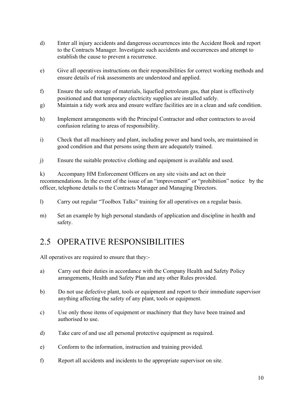- d) Enter all injury accidents and dangerous occurrences into the Accident Book and report to the Contracts Manager. Investigate such accidents and occurrences and attempt to establish the cause to prevent a recurrence.
- e) Give all operatives instructions on their responsibilities for correct working methods and ensure details of risk assessments are understood and applied.
- f) Ensure the safe storage of materials, liquefied petroleum gas, that plant is effectively positioned and that temporary electricity supplies are installed safely.
- g) Maintain a tidy work area and ensure welfare facilities are in a clean and safe condition.
- h) Implement arrangements with the Principal Contractor and other contractors to avoid confusion relating to areas of responsibility.
- i) Check that all machinery and plant, including power and hand tools, are maintained in good condition and that persons using them are adequately trained.
- j) Ensure the suitable protective clothing and equipment is available and used.

k) Accompany HM Enforcement Officers on any site visits and act on their recommendations. In the event of the issue of an "improvement" or "prohibition" notice by the officer, telephone details to the Contracts Manager and Managing Directors.

- l) Carry out regular "Toolbox Talks" training for all operatives on a regular basis.
- m) Set an example by high personal standards of application and discipline in health and safety.

#### 2.5 OPERATIVE RESPONSIBILITIES

All operatives are required to ensure that they:

- a) Carry out their duties in accordance with the Company Health and Safety Policy arrangements, Health and Safety Plan and any other Rules provided.
- b) Do not use defective plant, tools or equipment and report to their immediate supervisor anything affecting the safety of any plant, tools or equipment.
- c) Use only those items of equipment or machinery that they have been trained and authorised to use.
- d) Take care of and use all personal protective equipment as required.
- e) Conform to the information, instruction and training provided.
- f) Report all accidents and incidents to the appropriate supervisor on site.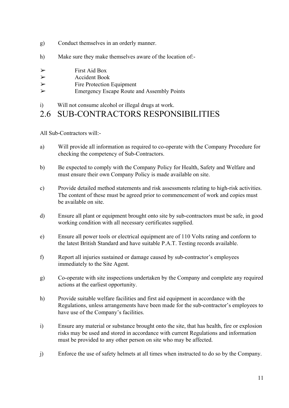- g) Conduct themselves in an orderly manner.
- h) Make sure they make themselves aware of the location of:-

| ➤ | <b>First Aid Box</b> |
|---|----------------------|
|   |                      |

- $\triangleright$  Accident Book
- ➢ Fire Protection Equipment
- ➢ Emergency Escape Route and Assembly Points
- i) Will not consume alcohol or illegal drugs at work.

#### 2.6 SUB-CONTRACTORS RESPONSIBILITIES

All Sub-Contractors will:-

- a) Will provide all information as required to co-operate with the Company Procedure for checking the competency of Sub-Contractors.
- b) Be expected to comply with the Company Policy for Health, Safety and Welfare and must ensure their own Company Policy is made available on site.
- c) Provide detailed method statements and risk assessments relating to high-risk activities. The content of these must be agreed prior to commencement of work and copies must be available on site.
- d) Ensure all plant or equipment brought onto site by sub-contractors must be safe, in good working condition with all necessary certificates supplied.
- e) Ensure all power tools or electrical equipment are of 110 Volts rating and conform to the latest British Standard and have suitable P.A.T. Testing records available.
- f) Report all injuries sustained or damage caused by sub-contractor's employees immediately to the Site Agent.
- g) Co-operate with site inspections undertaken by the Company and complete any required actions at the earliest opportunity.
- h) Provide suitable welfare facilities and first aid equipment in accordance with the Regulations, unless arrangements have been made for the sub-contractor's employees to have use of the Company's facilities.
- i) Ensure any material or substance brought onto the site, that has health, fire or explosion risks may be used and stored in accordance with current Regulations and information must be provided to any other person on site who may be affected.
- j) Enforce the use of safety helmets at all times when instructed to do so by the Company.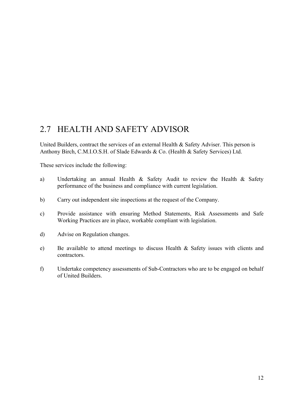### 2.7 HEALTH AND SAFETY ADVISOR

United Builders, contract the services of an external Health & Safety Adviser. This person is Anthony Birch, C.M.I.O.S.H. of Slade Edwards & Co. (Health & Safety Services) Ltd.

These services include the following:

- a) Undertaking an annual Health & Safety Audit to review the Health & Safety performance of the business and compliance with current legislation.
- b) Carry out independent site inspections at the request of the Company.
- c) Provide assistance with ensuring Method Statements, Risk Assessments and Safe Working Practices are in place, workable compliant with legislation.
- d) Advise on Regulation changes.
- e) Be available to attend meetings to discuss Health & Safety issues with clients and contractors.
- f) Undertake competency assessments of Sub-Contractors who are to be engaged on behalf of United Builders.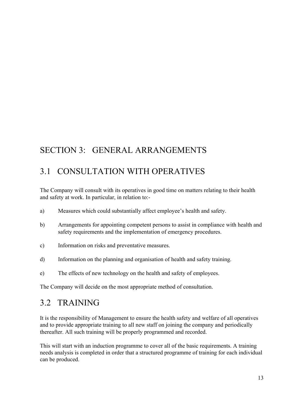# SECTION 3: GENERAL ARRANGEMENTS

#### 3.1 CONSULTATION WITH OPERATIVES

The Company will consult with its operatives in good time on matters relating to their health and safety at work. In particular, in relation to:

- a) Measures which could substantially affect employee's health and safety.
- b) Arrangements for appointing competent persons to assist in compliance with health and safety requirements and the implementation of emergency procedures.
- c) Information on risks and preventative measures.
- d) Information on the planning and organisation of health and safety training.
- e) The effects of new technology on the health and safety of employees.

The Company will decide on the most appropriate method of consultation.

#### 3.2 TRAINING

It is the responsibility of Management to ensure the health safety and welfare of all operatives and to provide appropriate training to all new staff on joining the company and periodically thereafter. All such training will be properly programmed and recorded.

This will start with an induction programme to cover all of the basic requirements. A training needs analysis is completed in order that a structured programme of training for each individual can be produced.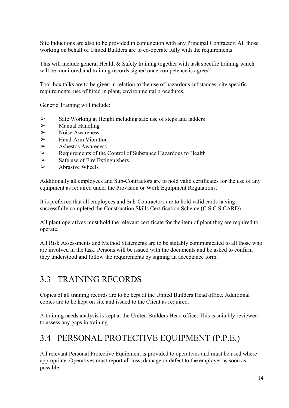Site Inductions are also to be provided in conjunction with any Principal Contractor. All those working on behalf of United Builders are to co-operate fully with the requirements.

This will include general Health & Safety training together with task specific training which will be monitored and training records signed once competence is agreed.

Tool-box talks are to be given in relation to the use of hazardous substances, site specific requirements, use of hired in plant, environmental procedures.

Generic Training will include:

- ➢ Safe Working at Height including safe use of steps and ladders
- $\triangleright$  Manual Handling
- $\triangleright$  Noise Awareness
- $\triangleright$  Hand-Arm Vibration
- $\triangleright$  Asbestos Awareness
- ➢ Requirements of the Control of Substance Hazardous to Health
- $\triangleright$  Safe use of Fire Extinguishers.
- $\triangleright$  Abrasive Wheels

Additionally all employees and Sub-Contractors are to hold valid certificates for the use of any equipment as required under the Provision or Work Equipment Regulations.

It is preferred that all employees and Sub-Contractors are to hold valid cards having successfully completed the Construction Skills Certification Scheme (C.S.C.S CARD).

All plant operatives must hold the relevant certificate for the item of plant they are required to operate.

All Risk Assessments and Method Statements are to be suitably communicated to all those who are involved in the task. Persons will be issued with the documents and be asked to confirm they understood and follow the requirements by signing an acceptance form.

#### 3.3 TRAINING RECORDS

Copies of all training records are to be kept at the United Builders Head office. Additional copies are to be kept on site and issued to the Client as required.

A training needs analysis is kept at the United Builders Head office. This is suitably reviewed to assess any gaps in training.

#### 3.4 PERSONAL PROTECTIVE EQUIPMENT (P.P.E.)

All relevant Personal Protective Equipment is provided to operatives and must be used where appropriate. Operatives must report all loss, damage or defect to the employer as soon as possible.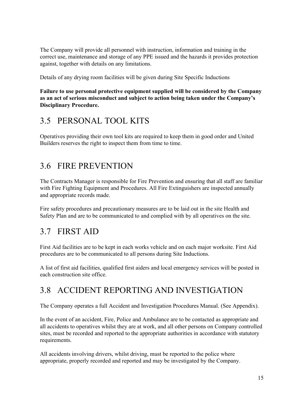The Company will provide all personnel with instruction, information and training in the correct use, maintenance and storage of any PPE issued and the hazards it provides protection against, together with details on any limitations.

Details of any drying room facilities will be given during Site Specific Inductions

**Failure to use personal protective equipment supplied will be considered by the Company as an act of serious misconduct and subject to action being taken under the Company's Disciplinary Procedure.**

#### 3.5 PERSONAL TOOL KITS

Operatives providing their own tool kits are required to keep them in good order and United Builders reserves the right to inspect them from time to time.

### 3.6 FIRE PREVENTION

The Contracts Manager is responsible for Fire Prevention and ensuring that all staff are familiar with Fire Fighting Equipment and Procedures. All Fire Extinguishers are inspected annually and appropriate records made.

Fire safety procedures and precautionary measures are to be laid out in the site Health and Safety Plan and are to be communicated to and complied with by all operatives on the site.

### 3.7 FIRST AID

First Aid facilities are to be kept in each works vehicle and on each major worksite. First Aid procedures are to be communicated to all persons during Site Inductions.

A list of first aid facilities, qualified first aiders and local emergency services will be posted in each construction site office.

### 3.8 ACCIDENT REPORTING AND INVESTIGATION

The Company operates a full Accident and Investigation Procedures Manual. (See Appendix).

In the event of an accident, Fire, Police and Ambulance are to be contacted as appropriate and all accidents to operatives whilst they are at work, and all other persons on Company controlled sites, must be recorded and reported to the appropriate authorities in accordance with statutory requirements.

All accidents involving drivers, whilst driving, must be reported to the police where appropriate, properly recorded and reported and may be investigated by the Company.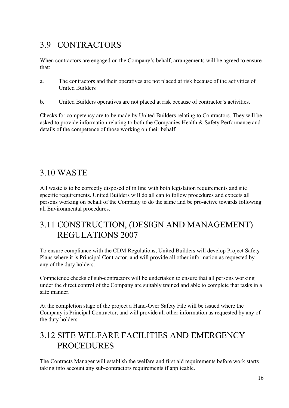# 3.9 CONTRACTORS

When contractors are engaged on the Company's behalf, arrangements will be agreed to ensure that:

- a. The contractors and their operatives are not placed at risk because of the activities of United Builders
- b. United Builders operatives are not placed at risk because of contractor's activities.

Checks for competency are to be made by United Builders relating to Contractors. They will be asked to provide information relating to both the Companies Health & Safety Performance and details of the competence of those working on their behalf.

# 3.10 WASTE

All waste is to be correctly disposed of in line with both legislation requirements and site specific requirements. United Builders will do all can to follow procedures and expects all persons working on behalf of the Company to do the same and be pro-active towards following all Environmental procedures.

#### 3.11 CONSTRUCTION, (DESIGN AND MANAGEMENT) REGULATIONS 2007

To ensure compliance with the CDM Regulations, United Builders will develop Project Safety Plans where it is Principal Contractor, and will provide all other information as requested by any of the duty holders.

Competence checks of sub-contractors will be undertaken to ensure that all persons working under the direct control of the Company are suitably trained and able to complete that tasks in a safe manner.

At the completion stage of the project a Hand-Over Safety File will be issued where the Company is Principal Contractor, and will provide all other information as requested by any of the duty holders

# 3.12 SITE WELFARE FACILITIES AND EMERGENCY PROCEDURES

The Contracts Manager will establish the welfare and first aid requirements before work starts taking into account any sub-contractors requirements if applicable.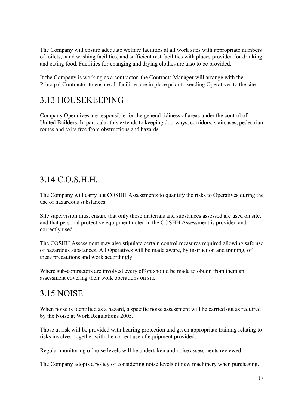The Company will ensure adequate welfare facilities at all work sites with appropriate numbers of toilets, hand washing facilities, and sufficient rest facilities with places provided for drinking and eating food. Facilities for changing and drying clothes are also to be provided.

If the Company is working as a contractor, the Contracts Manager will arrange with the Principal Contractor to ensure all facilities are in place prior to sending Operatives to the site.

# 3.13 HOUSEKEEPING

Company Operatives are responsible for the general tidiness of areas under the control of United Builders. In particular this extends to keeping doorways, corridors, staircases, pedestrian routes and exits free from obstructions and hazards.

### 3.14 C.O.S.H.H.

The Company will carry out COSHH Assessments to quantify the risks to Operatives during the use of hazardous substances.

Site supervision must ensure that only those materials and substances assessed are used on site, and that personal protective equipment noted in the COSHH Assessment is provided and correctly used.

The COSHH Assessment may also stipulate certain control measures required allowing safe use of hazardous substances. All Operatives will be made aware, by instruction and training, of these precautions and work accordingly.

Where sub-contractors are involved every effort should be made to obtain from them an assessment covering their work operations on site.

### 3.15 NOISE

When noise is identified as a hazard, a specific noise assessment will be carried out as required by the Noise at Work Regulations 2005.

Those at risk will be provided with hearing protection and given appropriate training relating to risks involved together with the correct use of equipment provided.

Regular monitoring of noise levels will be undertaken and noise assessments reviewed.

The Company adopts a policy of considering noise levels of new machinery when purchasing.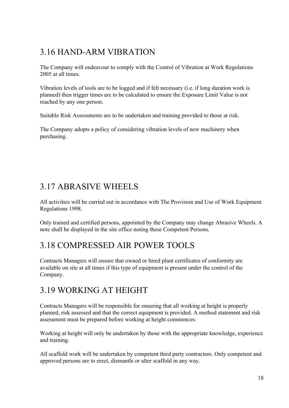# 3.16 HAND-ARM VIBRATION

The Company will endeavour to comply with the Control of Vibration at Work Regulations 2005 at all times.

Vibration levels of tools are to be logged and if felt necessary (i.e. if long duration work is planned) then trigger times are to be calculated to ensure the Exposure Limit Value is not reached by any one person.

Suitable Risk Assessments are to be undertaken and training provided to those at risk.

The Company adopts a policy of considering vibration levels of new machinery when purchasing.

# 3.17 ABRASIVE WHEELS

All activities will be carried out in accordance with The Provision and Use of Work Equipment Regulations 1998.

Only trained and certified persons, appointed by the Company may change Abrasive Wheels. A note shall be displayed in the site office noting these Competent Persons.

### 3.18 COMPRESSED AIR POWER TOOLS

Contracts Managers will ensure that owned or hired plant certificates of conformity are available on site at all times if this type of equipment is present under the control of the Company.

### 3.19 WORKING AT HEIGHT

Contracts Managers will be responsible for ensuring that all working at height is properly planned, risk assessed and that the correct equipment is provided. A method statement and risk assessment must be prepared before working at height commences.

Working at height will only be undertaken by those with the appropriate knowledge, experience and training.

All scaffold work will be undertaken by competent third party contractors. Only competent and approved persons are to erect, dismantle or alter scaffold in any way.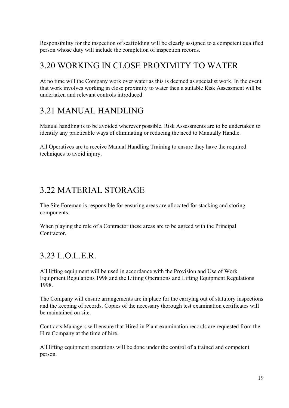Responsibility for the inspection of scaffolding will be clearly assigned to a competent qualified person whose duty will include the completion of inspection records.

#### 3.20 WORKING IN CLOSE PROXIMITY TO WATER

At no time will the Company work over water as this is deemed as specialist work. In the event that work involves working in close proximity to water then a suitable Risk Assessment will be undertaken and relevant controls introduced

### 3.21 MANUAL HANDLING

Manual handling is to be avoided wherever possible. Risk Assessments are to be undertaken to identify any practicable ways of eliminating or reducing the need to Manually Handle.

All Operatives are to receive Manual Handling Training to ensure they have the required techniques to avoid injury.

# 3.22 MATERIAL STORAGE

The Site Foreman is responsible for ensuring areas are allocated for stacking and storing components.

When playing the role of a Contractor these areas are to be agreed with the Principal **Contractor** 

### 3.23 L.O.L.E.R.

All lifting equipment will be used in accordance with the Provision and Use of Work Equipment Regulations 1998 and the Lifting Operations and Lifting Equipment Regulations 1998.

The Company will ensure arrangements are in place for the carrying out of statutory inspections and the keeping of records. Copies of the necessary thorough test examination certificates will be maintained on site.

Contracts Managers will ensure that Hired in Plant examination records are requested from the Hire Company at the time of hire.

All lifting equipment operations will be done under the control of a trained and competent person.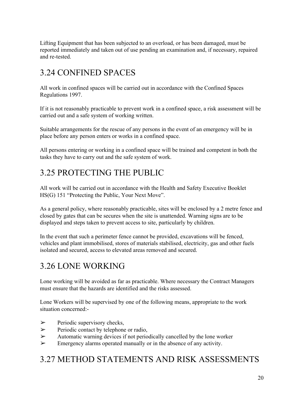Lifting Equipment that has been subjected to an overload, or has been damaged, must be reported immediately and taken out of use pending an examination and, if necessary, repaired and re-tested.

# 3.24 CONFINED SPACES

All work in confined spaces will be carried out in accordance with the Confined Spaces Regulations 1997.

If it is not reasonably practicable to prevent work in a confined space, a risk assessment will be carried out and a safe system of working written.

Suitable arrangements for the rescue of any persons in the event of an emergency will be in place before any person enters or works in a confined space.

All persons entering or working in a confined space will be trained and competent in both the tasks they have to carry out and the safe system of work.

# 3.25 PROTECTING THE PUBLIC

All work will be carried out in accordance with the Health and Safety Executive Booklet HS(G) 151 "Protecting the Public, Your Next Move".

As a general policy, where reasonably practicable, sites will be enclosed by a 2 metre fence and closed by gates that can be secures when the site is unattended. Warning signs are to be displayed and steps taken to prevent access to site, particularly by children.

In the event that such a perimeter fence cannot be provided, excavations will be fenced, vehicles and plant immobilised, stores of materials stabilised, electricity, gas and other fuels isolated and secured, access to elevated areas removed and secured.

# 3.26 LONE WORKING

Lone working will be avoided as far as practicable. Where necessary the Contract Managers must ensure that the hazards are identified and the risks assessed.

Lone Workers will be supervised by one of the following means, appropriate to the work situation concerned:

- $\triangleright$  Periodic supervisory checks,
- ➢ Periodic contact by telephone or radio,
- $\triangleright$  Automatic warning devices if not periodically cancelled by the lone worker
- $\triangleright$  Emergency alarms operated manually or in the absence of any activity.

# 3.27 METHOD STATEMENTS AND RISK ASSESSMENTS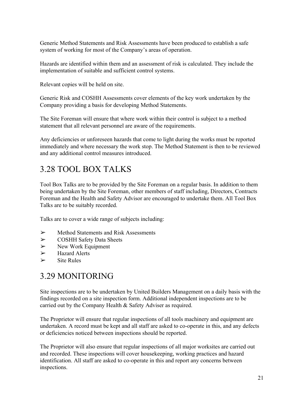Generic Method Statements and Risk Assessments have been produced to establish a safe system of working for most of the Company's areas of operation.

Hazards are identified within them and an assessment of risk is calculated. They include the implementation of suitable and sufficient control systems.

Relevant copies will be held on site.

Generic Risk and COSHH Assessments cover elements of the key work undertaken by the Company providing a basis for developing Method Statements.

The Site Foreman will ensure that where work within their control is subject to a method statement that all relevant personnel are aware of the requirements.

Any deficiencies or unforeseen hazards that come to light during the works must be reported immediately and where necessary the work stop. The Method Statement is then to be reviewed and any additional control measures introduced.

# 3.28 TOOL BOX TALKS

Tool Box Talks are to be provided by the Site Foreman on a regular basis. In addition to them being undertaken by the Site Foreman, other members of staff including, Directors, Contracts Foreman and the Health and Safety Advisor are encouraged to undertake them. All Tool Box Talks are to be suitably recorded.

Talks are to cover a wide range of subjects including:

- ➢ Method Statements and Risk Assessments
- ➢ COSHH Safety Data Sheets
- $\triangleright$  New Work Equipment
- $\triangleright$  Hazard Alerts
- $\triangleright$  Site Rules

### 3.29 MONITORING

Site inspections are to be undertaken by United Builders Management on a daily basis with the findings recorded on a site inspection form. Additional independent inspections are to be carried out by the Company Health & Safety Adviser as required.

The Proprietor will ensure that regular inspections of all tools machinery and equipment are undertaken. A record must be kept and all staff are asked to co-operate in this, and any defects or deficiencies noticed between inspections should be reported.

The Proprietor will also ensure that regular inspections of all major worksites are carried out and recorded. These inspections will cover housekeeping, working practices and hazard identification. All staff are asked to co-operate in this and report any concerns between inspections.